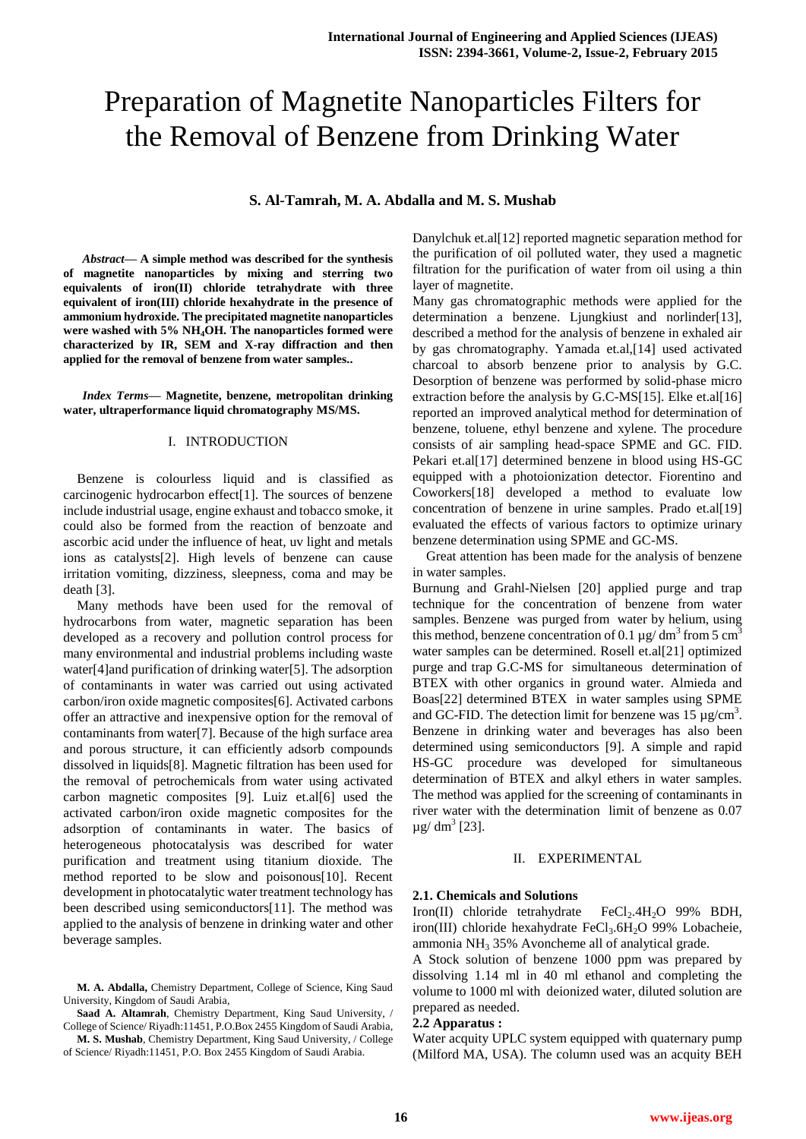# Preparation of Magnetite Nanoparticles Filters for the Removal of Benzene from Drinking Water

# **S. Al-Tamrah, M. A. Abdalla and M. S. Mushab**

*Abstract***— A simple method was described for the synthesis of magnetite nanoparticles by mixing and sterring two equivalents of iron(II) chloride tetrahydrate with three equivalent of iron(III) chloride hexahydrate in the presence of ammonium hydroxide. The precipitated magnetite nanoparticles were washed with 5% NH4OH. The nanoparticles formed were characterized by IR, SEM and X-ray diffraction and then applied for the removal of benzene from water samples..**

*Index Terms***— Magnetite, benzene, metropolitan drinking water, ultraperformance liquid chromatography MS/MS.** 

## I. INTRODUCTION

Benzene is colourless liquid and is classified as carcinogenic hydrocarbon effect[1]. The sources of benzene include industrial usage, engine exhaust and tobacco smoke, it could also be formed from the reaction of benzoate and ascorbic acid under the influence of heat, uv light and metals ions as catalysts[2]. High levels of benzene can cause irritation vomiting, dizziness, sleepness, coma and may be death [3].

Many methods have been used for the removal of hydrocarbons from water, magnetic separation has been developed as a recovery and pollution control process for many environmental and industrial problems including waste water[4]and purification of drinking water[5]. The adsorption of contaminants in water was carried out using activated carbon/iron oxide magnetic composites[6]. Activated carbons offer an attractive and inexpensive option for the removal of contaminants from water[7]. Because of the high surface area and porous structure, it can efficiently adsorb compounds dissolved in liquids[8]. Magnetic filtration has been used for the removal of petrochemicals from water using activated carbon magnetic composites [9]. Luiz et.al[6] used the activated carbon/iron oxide magnetic composites for the adsorption of contaminants in water. The basics of heterogeneous photocatalysis was described for water purification and treatment using titanium dioxide. The method reported to be slow and poisonous[10]. Recent development in photocatalytic water treatment technology has been described using semiconductors[11]. The method was applied to the analysis of benzene in drinking water and other beverage samples.

**M. A. Abdalla,** Chemistry Department, College of Science, King Saud University, Kingdom of Saudi Arabia,

**Saad A. Altamrah**, Chemistry Department, King Saud University, / College of Science/ Riyadh:11451, P.O.Box 2455 Kingdom of Saudi Arabia,

**M. S. Mushab**, Chemistry Department, King Saud University, / College of Science/ Riyadh:11451, P.O. Box 2455 Kingdom of Saudi Arabia.

Danylchuk et.al[12] reported magnetic separation method for the purification of oil polluted water, they used a magnetic filtration for the purification of water from oil using a thin layer of magnetite.

Many gas chromatographic methods were applied for the determination a benzene. Ljungkiust and norlinder[13], described a method for the analysis of benzene in exhaled air by gas chromatography. Yamada et.al,[14] used activated charcoal to absorb benzene prior to analysis by G.C. Desorption of benzene was performed by solid-phase micro extraction before the analysis by G.C-MS[15]. Elke et.al[16] reported an improved analytical method for determination of benzene, toluene, ethyl benzene and xylene. The procedure consists of air sampling head-space SPME and GC. FID. Pekari et.al[17] determined benzene in blood using HS-GC equipped with a photoionization detector. Fiorentino and Coworkers[18] developed a method to evaluate low concentration of benzene in urine samples. Prado et.al[19] evaluated the effects of various factors to optimize urinary benzene determination using SPME and GC-MS.

Great attention has been made for the analysis of benzene in water samples.

Burnung and Grahl-Nielsen [20] applied purge and trap technique for the concentration of benzene from water samples. Benzene was purged from water by helium, using this method, benzene concentration of 0.1  $\mu$ g/ dm<sup>3</sup> from 5 cm<sup>3</sup> water samples can be determined. Rosell et.al[21] optimized purge and trap G.C-MS for simultaneous determination of BTEX with other organics in ground water. Almieda and Boas[22] determined BTEX in water samples using SPME and GC-FID. The detection limit for benzene was  $15 \mu g/cm^3$ . Benzene in drinking water and beverages has also been determined using semiconductors [9]. A simple and rapid HS-GC procedure was developed for simultaneous determination of BTEX and alkyl ethers in water samples. The method was applied for the screening of contaminants in river water with the determination limit of benzene as 0.07  $\mu$ g/ dm<sup>3</sup> [23].

#### II. EXPERIMENTAL

### **2.1. Chemicals and Solutions**

Iron(II) chloride tetrahydrate  $FeCl<sub>2</sub>$ .4H<sub>2</sub>O 99% BDH, iron(III) chloride hexahydrate FeCl<sub>3</sub>.6H<sub>2</sub>O 99% Lobacheie, ammonia  $NH<sub>3</sub> 35%$  Avoncheme all of analytical grade.

A Stock solution of benzene 1000 ppm was prepared by dissolving 1.14 ml in 40 ml ethanol and completing the volume to 1000 ml with deionized water, diluted solution are prepared as needed.

#### **2.2 Apparatus :**

Water acquity UPLC system equipped with quaternary pump (Milford MA, USA). The column used was an acquity BEH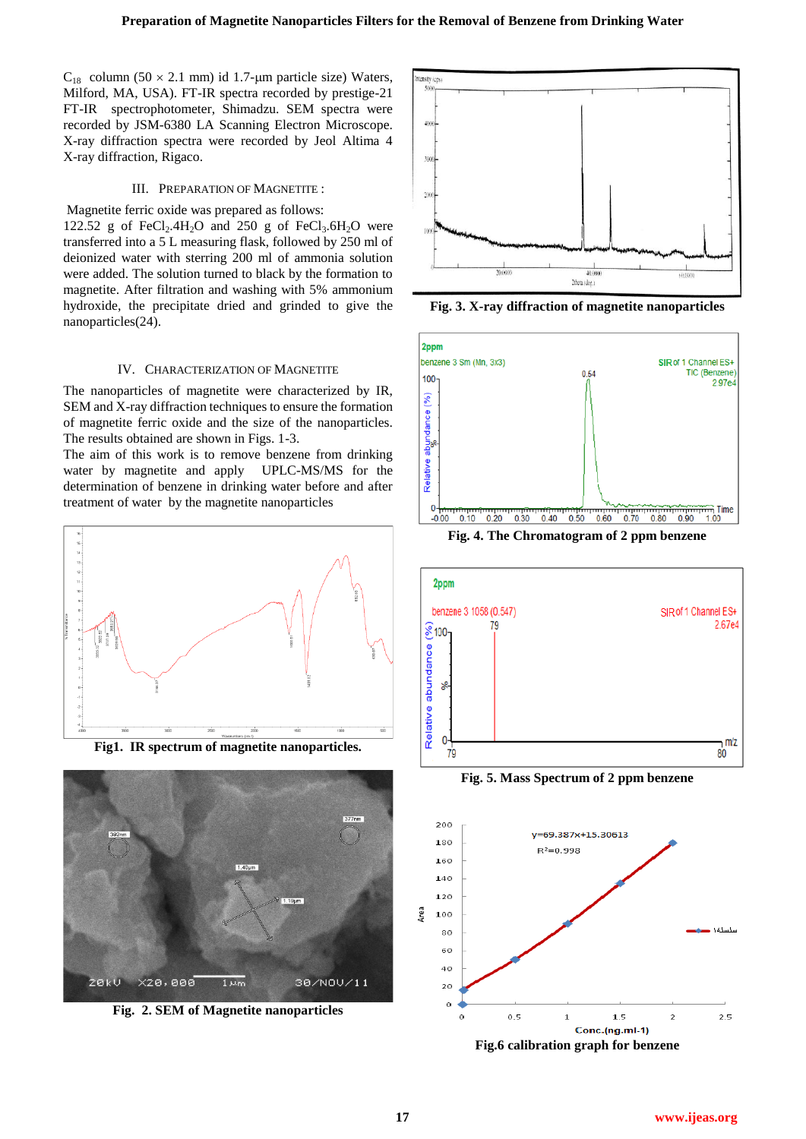$C_{18}$  column (50  $\times$  2.1 mm) id 1.7-µm particle size) Waters, Milford, MA, USA). FT-IR spectra recorded by prestige-21 FT-IR spectrophotometer, Shimadzu. SEM spectra were recorded by JSM-6380 LA Scanning Electron Microscope. X-ray diffraction spectra were recorded by Jeol Altima 4 X-ray diffraction, Rigaco.

# III. PREPARATION OF MAGNETITE :

Magnetite ferric oxide was prepared as follows: 122.52 g of  $FeCl<sub>2</sub>$ .4H<sub>2</sub>O and 250 g of  $FeCl<sub>3</sub>$ .6H<sub>2</sub>O were transferred into a 5 L measuring flask, followed by 250 ml of deionized water with sterring 200 ml of ammonia solution were added. The solution turned to black by the formation to magnetite. After filtration and washing with 5% ammonium hydroxide, the precipitate dried and grinded to give the nanoparticles(24).

#### IV. CHARACTERIZATION OF MAGNETITE

The nanoparticles of magnetite were characterized by IR, SEM and X-ray diffraction techniques to ensure the formation of magnetite ferric oxide and the size of the nanoparticles. The results obtained are shown in Figs. 1-3.

The aim of this work is to remove benzene from drinking water by magnetite and apply UPLC-MS/MS for the determination of benzene in drinking water before and after treatment of water by the magnetite nanoparticles



**Fig1. IR spectrum of magnetite nanoparticles.**



**Fig. 2. SEM of Magnetite nanoparticles**



**Fig. 3. X-ray diffraction of magnetite nanoparticles**



**Fig. 4. The Chromatogram of 2 ppm benzene**



**Fig. 5. Mass Spectrum of 2 ppm benzene**



**Fig.6 calibration graph for benzene**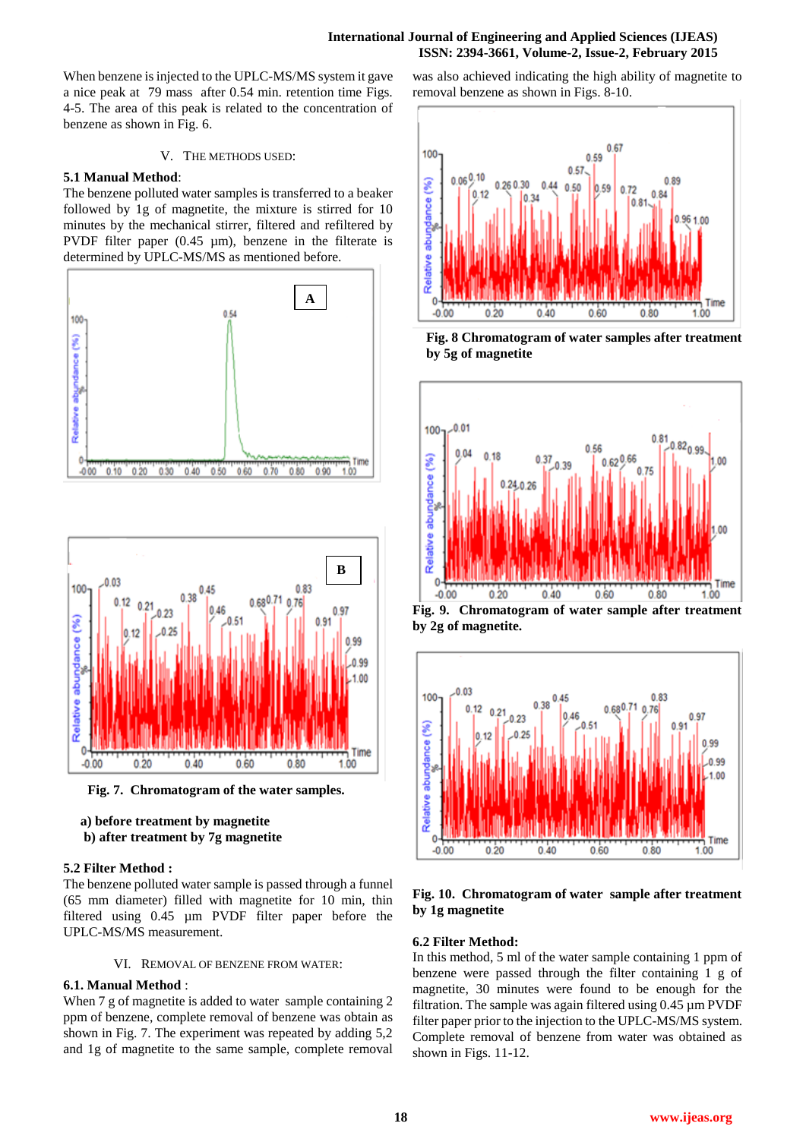## **International Journal of Engineering and Applied Sciences (IJEAS) ISSN: 2394-3661, Volume-2, Issue-2, February 2015**

When benzene is injected to the UPLC-MS/MS system it gave a nice peak at 79 mass after 0.54 min. retention time Figs. 4-5. The area of this peak is related to the concentration of benzene as shown in Fig. 6.

## V. THE METHODS USED:

#### **5.1 Manual Method**:

The benzene polluted water samples is transferred to a beaker followed by 1g of magnetite, the mixture is stirred for 10 minutes by the mechanical stirrer, filtered and refiltered by PVDF filter paper  $(0.45 \mu m)$ , benzene in the filterate is determined by UPLC-MS/MS as mentioned before.





**Fig. 7. Chromatogram of the water samples.**

 **a) before treatment by magnetite b) after treatment by 7g magnetite**

#### **5.2 Filter Method :**

The benzene polluted water sample is passed through a funnel (65 mm diameter) filled with magnetite for 10 min, thin filtered using 0.45 µm PVDF filter paper before the UPLC-MS/MS measurement.

#### VI. REMOVAL OF BENZENE FROM WATER:

## **6.1. Manual Method** :

When 7 g of magnetite is added to water sample containing 2 ppm of benzene, complete removal of benzene was obtain as shown in Fig. 7. The experiment was repeated by adding 5,2 and 1g of magnetite to the same sample, complete removal

was also achieved indicating the high ability of magnetite to removal benzene as shown in Figs. 8-10.







**Fig. 9. Chromatogram of water sample after treatment by 2g of magnetite.**



# **Fig. 10. Chromatogram of water sample after treatment by 1g magnetite**

#### **6.2 Filter Method:**

In this method, 5 ml of the water sample containing 1 ppm of benzene were passed through the filter containing 1 g of magnetite, 30 minutes were found to be enough for the filtration. The sample was again filtered using 0.45 µm PVDF filter paper prior to the injection to the UPLC-MS/MS system. Complete removal of benzene from water was obtained as shown in Figs. 11-12.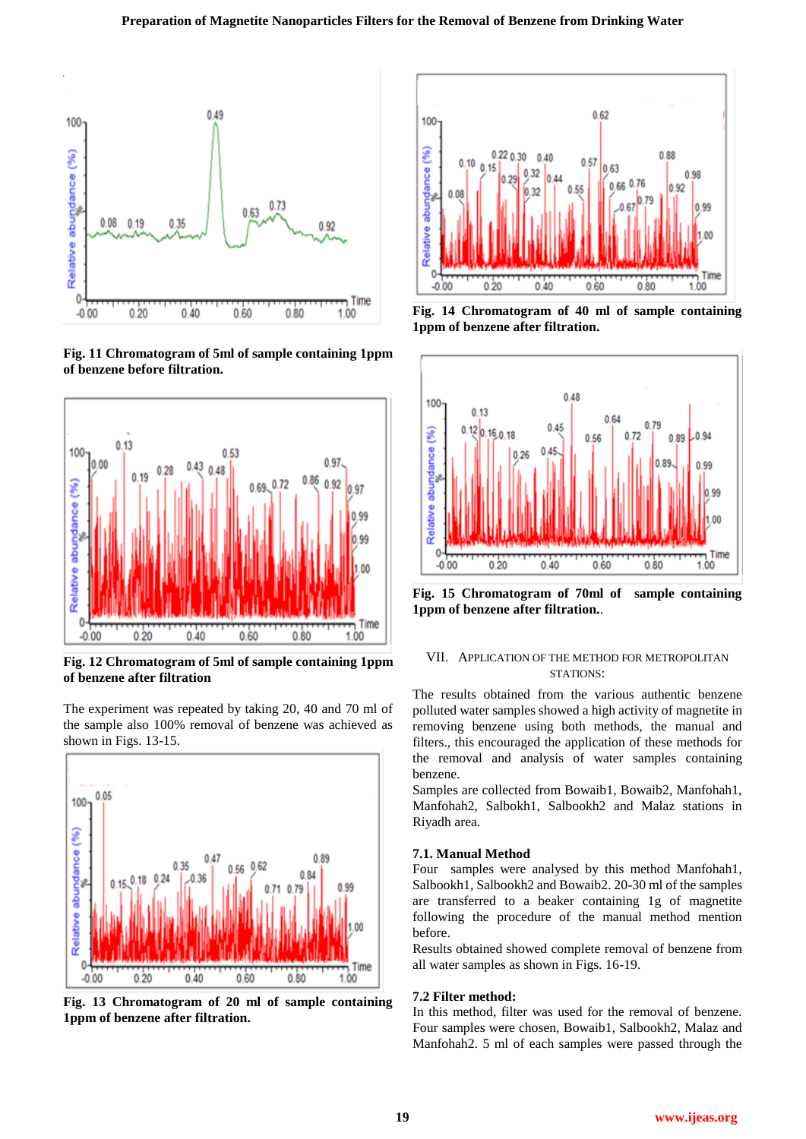

**Fig. 11 Chromatogram of 5ml of sample containing 1ppm of benzene before filtration.**



**Fig. 12 Chromatogram of 5ml of sample containing 1ppm of benzene after filtration** 

The experiment was repeated by taking 20, 40 and 70 ml of the sample also 100% removal of benzene was achieved as shown in Figs. 13-15.



**Fig. 13 Chromatogram of 20 ml of sample containing 1ppm of benzene after filtration.**



**Fig. 14 Chromatogram of 40 ml of sample containing 1ppm of benzene after filtration.**



**Fig. 15 Chromatogram of 70ml of sample containing 1ppm of benzene after filtration.**.

## VII. APPLICATION OF THE METHOD FOR METROPOLITAN STATIONS:

The results obtained from the various authentic benzene polluted water samples showed a high activity of magnetite in removing benzene using both methods, the manual and filters., this encouraged the application of these methods for the removal and analysis of water samples containing benzene.

Samples are collected from Bowaib1, Bowaib2, Manfohah1, Manfohah2, Salbokh1, Salbookh2 and Malaz stations in Riyadh area.

## **7.1. Manual Method**

Four samples were analysed by this method Manfohah1, Salbookh1, Salbookh2 and Bowaib2. 20-30 ml of the samples are transferred to a beaker containing 1g of magnetite following the procedure of the manual method mention before.

Results obtained showed complete removal of benzene from all water samples as shown in Figs. 16-19.

## **7.2 Filter method:**

In this method, filter was used for the removal of benzene. Four samples were chosen, Bowaib1, Salbookh2, Malaz and Manfohah2. 5 ml of each samples were passed through the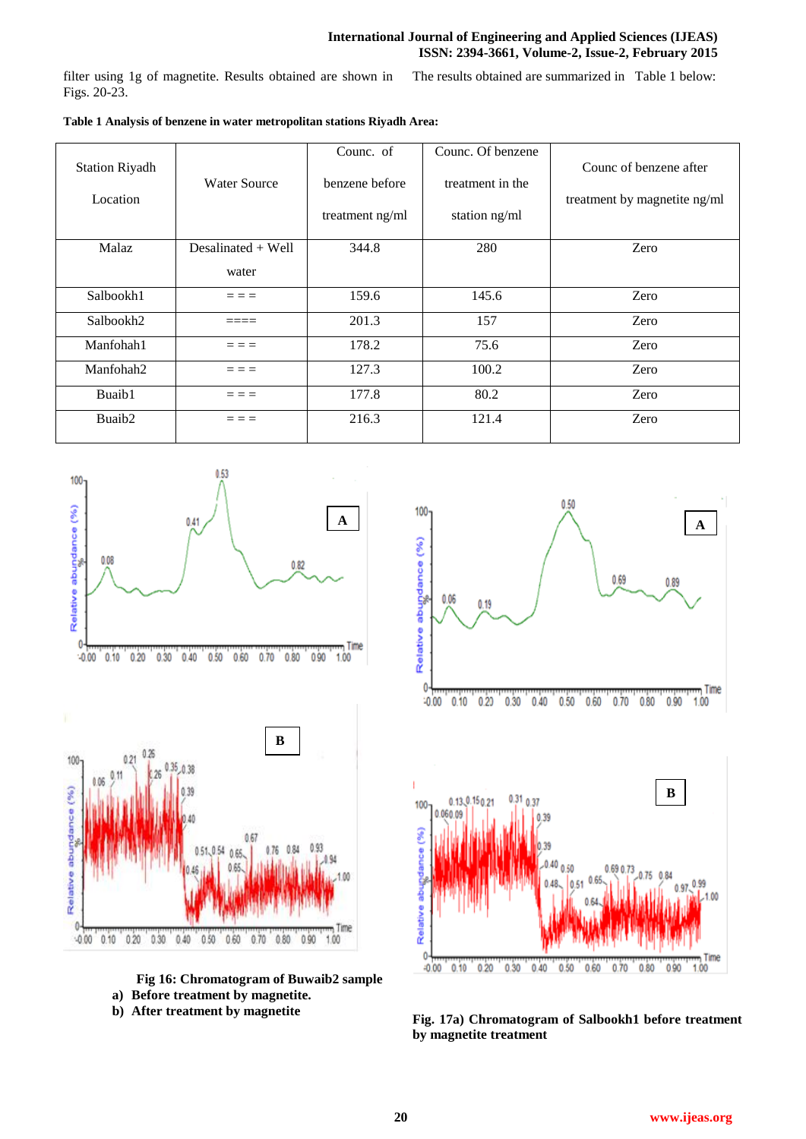# **International Journal of Engineering and Applied Sciences (IJEAS) ISSN: 2394-3661, Volume-2, Issue-2, February 2015**

filter using 1g of magnetite. Results obtained are shown in Figs. 20-23. The results obtained are summarized in Table 1 below:

|                                   |                      | Counc. of       | Counc. Of benzene | Counc of benzene after       |
|-----------------------------------|----------------------|-----------------|-------------------|------------------------------|
| <b>Station Riyadh</b><br>Location | Water Source         | benzene before  | treatment in the  | treatment by magnetite ng/ml |
|                                   |                      | treatment ng/ml | station ng/ml     |                              |
| <b>Malaz</b>                      | Desalinated $+$ Well | 344.8           | 280               | Zero                         |
|                                   | water                |                 |                   |                              |
| Salbookh1                         | - - -                | 159.6           | 145.6             | Zero                         |
| Salbookh2                         |                      | 201.3           | 157               | Zero                         |
| Manfohah1                         |                      | 178.2           | 75.6              | Zero                         |
| Manfohah2                         |                      | 127.3           | 100.2             | Zero                         |
| Buaib1                            |                      | 177.8           | 80.2              | Zero                         |
| Buaib <sub>2</sub>                |                      | 216.3           | 121.4             | Zero                         |



**Fig 16: Chromatogram of Buwaib2 sample**

**a) Before treatment by magnetite.**



**b)** After treatment by magnetite Fig. 17a) Chromatogram of Salbookh1 before treatment **by magnetite treatment**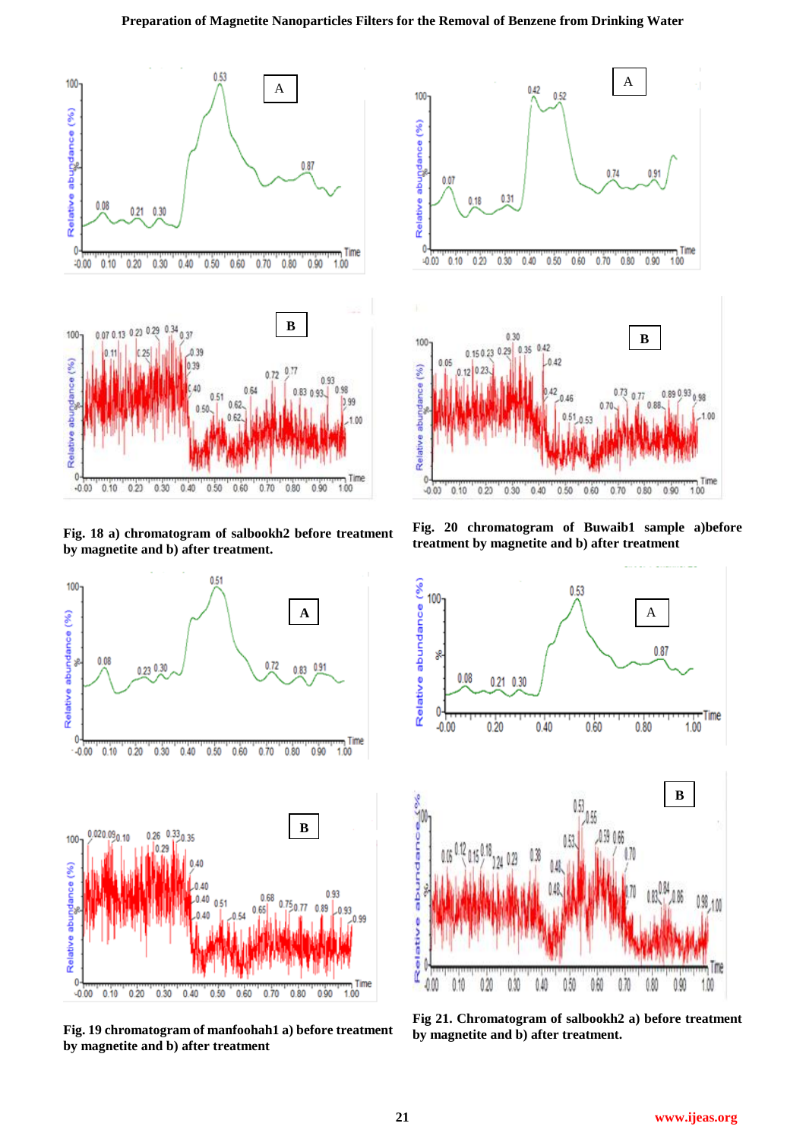# **Preparation of Magnetite Nanoparticles Filters for the Removal of Benzene from Drinking Water**



**Fig. 18 a) chromatogram of salbookh2 before treatment by magnetite and b) after treatment.**



**Fig. 19 chromatogram of manfoohah1 a) before treatment by magnetite and b) after treatment**



**Fig. 20 chromatogram of Buwaib1 sample a)before treatment by magnetite and b) after treatment** 



**Fig 21. Chromatogram of salbookh2 a) before treatment by magnetite and b) after treatment.**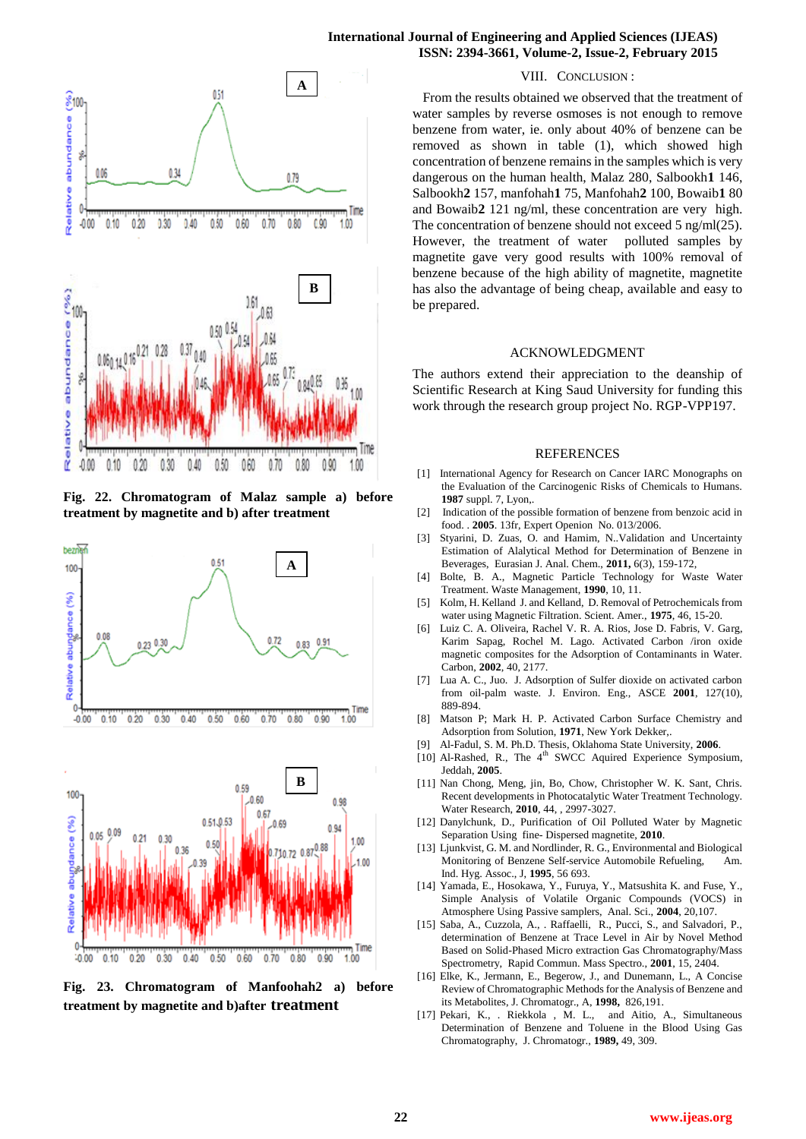



**Fig. 22. Chromatogram of Malaz sample a) before treatment by magnetite and b) after treatment**





**Fig. 23. Chromatogram of Manfoohah2 a) before treatment by magnetite and b)after treatment**

#### VIII. CONCLUSION :

 From the results obtained we observed that the treatment of water samples by reverse osmoses is not enough to remove benzene from water, ie. only about 40% of benzene can be removed as shown in table (1), which showed high concentration of benzene remains in the samples which is very dangerous on the human health, Malaz 280, Salbookh**1** 146, Salbookh**2** 157, manfohah**1** 75, Manfohah**2** 100, Bowaib**1** 80 and Bowaib**2** 121 ng/ml, these concentration are very high. The concentration of benzene should not exceed 5 ng/ml(25). However, the treatment of water polluted samples by magnetite gave very good results with 100% removal of benzene because of the high ability of magnetite, magnetite has also the advantage of being cheap, available and easy to be prepared.

#### ACKNOWLEDGMENT

The authors extend their appreciation to the deanship of Scientific Research at King Saud University for funding this work through the research group project No. RGP-VPP197.

#### REFERENCES

- [1] International Agency for Research on Cancer IARC Monographs on the Evaluation of the Carcinogenic Risks of Chemicals to Humans. **1987** suppl. 7, Lyon,.
- [2] Indication of the possible formation of benzene from benzoic acid in food. . **2005**. 13fr, Expert Openion No. 013/2006.
- Styarini, D. Zuas, O. and Hamim, N..Validation and Uncertainty Estimation of Alalytical Method for Determination of Benzene in Beverages, Eurasian J. Anal. Chem., **2011,** 6(3), 159-172,
- [4] Bolte, B. A., Magnetic Particle Technology for Waste Water Treatment. Waste Management, **1990**, 10, 11.
- [5] Kolm, H. Kelland J. and Kelland, D. Removal of Petrochemicals from water using Magnetic Filtration. Scient. Amer., **1975**, 46, 15-20.
- [6] Luiz C. A. Oliveira, Rachel V. R. A. Rios, Jose D. Fabris, V. Garg, Karim Sapag, Rochel M. Lago. Activated Carbon /iron oxide magnetic composites for the Adsorption of Contaminants in Water. Carbon, **2002**, 40, 2177.
- [7] Lua A. C., Juo. J. Adsorption of Sulfer dioxide on activated carbon from oil-palm waste. J. Environ. Eng., ASCE **2001**, 127(10), 889-894.
- [8] Matson P; Mark H. P. Activated Carbon Surface Chemistry and Adsorption from Solution, **1971**, New York Dekker,.
- [9] Al-Fadul, S. M. Ph.D. Thesis, Oklahoma State University, **2006**.
- [10] Al-Rashed, R., The 4<sup>th</sup> SWCC Aquired Experience Symposium, Jeddah, **2005**.
- [11] Nan Chong, Meng, jin, Bo, Chow, Christopher W. K. Sant, Chris. Recent developments in Photocatalytic Water Treatment Technology. Water Research, **2010**, 44, , 2997-3027.
- [12] Danylchunk, D., Purification of Oil Polluted Water by Magnetic Separation Using fine- Dispersed magnetite, **2010**.
- [13] Ljunkvist, G. M. and Nordlinder, R. G., Environmental and Biological Monitoring of Benzene Self-service Automobile Refueling, Am. Ind. Hyg. Assoc., J, **1995**, 56 693.
- [14] Yamada, E., Hosokawa, Y., Furuya, Y., Matsushita K. and Fuse, Y., Simple Analysis of Volatile Organic Compounds (VOCS) in Atmosphere Using Passive samplers, Anal. Sci., **2004**, 20,107.
- [15] Saba, A., Cuzzola, A., . Raffaelli, R., Pucci, S., and Salvadori, P., determination of Benzene at Trace Level in Air by Novel Method Based on Solid-Phased Micro extraction Gas Chromatography/Mass Spectrometry, Rapid Commun. Mass Spectro., **2001**, 15, 2404.
- [16] Elke, K., Jermann, E., Begerow, J., and Dunemann, L., A Concise Review of Chromatographic Methods for the Analysis of Benzene and its Metabolites, J. Chromatogr., A, **1998,** 826,191.
- [17] Pekari, K., . Riekkola , M. L., and Aitio, A., Simultaneous Determination of Benzene and Toluene in the Blood Using Gas Chromatography, J. Chromatogr., **1989,** 49, 309.